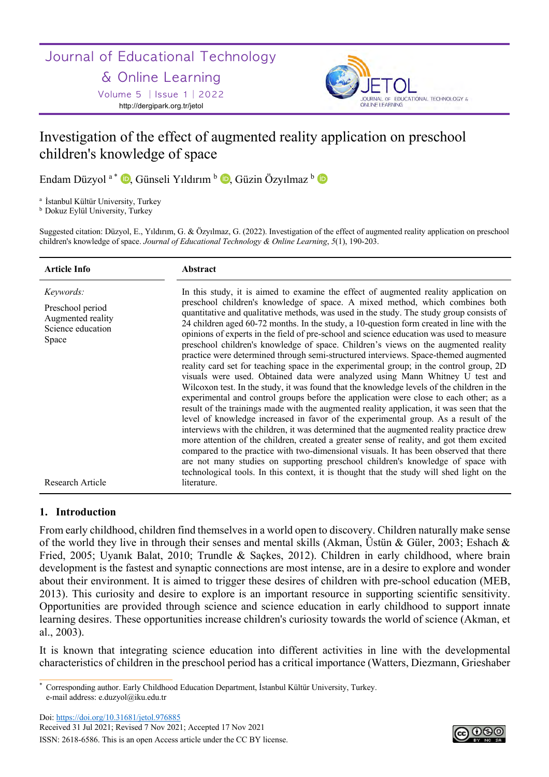# Journal of Educational Technology

# & Online Learning

Volume 5 │Issue 1│2022 http://dergipark.org.tr/jetol



# Investigation of the effect of augmented reality application on preschool children's knowledge of space

Endam Düzyol <sup>a \*</sup> D, Günseli Yıldırım <sup>b</sup> D, Güzin Özyılmaz <sup>b</sup> D

<sup>a</sup> İstanbul Kültür University, Turkey

b Dokuz Eylül University, Turkey

Suggested citation: Düzyol, E., Yıldırım, G. & Özyılmaz, G. (2022). Investigation of the effect of augmented reality application on preschool children's knowledge of space. *Journal of Educational Technology & Online Learning*, *5*(1), 190-203.

| <b>Article Info</b>                                                              | Abstract                                                                                                                                                                                                                                                                                                                                                                                                                                                                                                                                                                                                                                                                                                                                                                                                                                                                                                                                                                                                                                                                                                                                                                                                                                                                                                                                                                                                                                                                                                                                                                                                                                                      |
|----------------------------------------------------------------------------------|---------------------------------------------------------------------------------------------------------------------------------------------------------------------------------------------------------------------------------------------------------------------------------------------------------------------------------------------------------------------------------------------------------------------------------------------------------------------------------------------------------------------------------------------------------------------------------------------------------------------------------------------------------------------------------------------------------------------------------------------------------------------------------------------------------------------------------------------------------------------------------------------------------------------------------------------------------------------------------------------------------------------------------------------------------------------------------------------------------------------------------------------------------------------------------------------------------------------------------------------------------------------------------------------------------------------------------------------------------------------------------------------------------------------------------------------------------------------------------------------------------------------------------------------------------------------------------------------------------------------------------------------------------------|
| Keywords:<br>Preschool period<br>Augmented reality<br>Science education<br>Space | In this study, it is aimed to examine the effect of augmented reality application on<br>preschool children's knowledge of space. A mixed method, which combines both<br>quantitative and qualitative methods, was used in the study. The study group consists of<br>24 children aged 60-72 months. In the study, a 10-question form created in line with the<br>opinions of experts in the field of pre-school and science education was used to measure<br>preschool children's knowledge of space. Children's views on the augmented reality<br>practice were determined through semi-structured interviews. Space-themed augmented<br>reality card set for teaching space in the experimental group; in the control group, 2D<br>visuals were used. Obtained data were analyzed using Mann Whitney U test and<br>Wilcoxon test. In the study, it was found that the knowledge levels of the children in the<br>experimental and control groups before the application were close to each other; as a<br>result of the trainings made with the augmented reality application, it was seen that the<br>level of knowledge increased in favor of the experimental group. As a result of the<br>interviews with the children, it was determined that the augmented reality practice drew<br>more attention of the children, created a greater sense of reality, and got them excited<br>compared to the practice with two-dimensional visuals. It has been observed that there<br>are not many studies on supporting preschool children's knowledge of space with<br>technological tools. In this context, it is thought that the study will shed light on the |
| Research Article                                                                 | literature.                                                                                                                                                                                                                                                                                                                                                                                                                                                                                                                                                                                                                                                                                                                                                                                                                                                                                                                                                                                                                                                                                                                                                                                                                                                                                                                                                                                                                                                                                                                                                                                                                                                   |

# **1. Introduction**

From early childhood, children find themselves in a world open to discovery. Children naturally make sense of the world they live in through their senses and mental skills (Akman, Üstün & Güler, 2003; Eshach & Fried, 2005; Uyanık Balat, 2010; Trundle & Saçkes, 2012). Children in early childhood, where brain development is the fastest and synaptic connections are most intense, are in a desire to explore and wonder about their environment. It is aimed to trigger these desires of children with pre-school education (MEB, 2013). This curiosity and desire to explore is an important resource in supporting scientific sensitivity. Opportunities are provided through science and science education in early childhood to support innate learning desires. These opportunities increase children's curiosity towards the world of science (Akman, et al., 2003).

It is known that integrating science education into different activities in line with the developmental characteristics of children in the preschool period has a critical importance (Watters, Diezmann, Grieshaber



<sup>\*</sup> Corresponding author. Early Childhood Education Department, İstanbul Kültür University, Turkey. e-mail address: e.duzyol@iku.edu.tr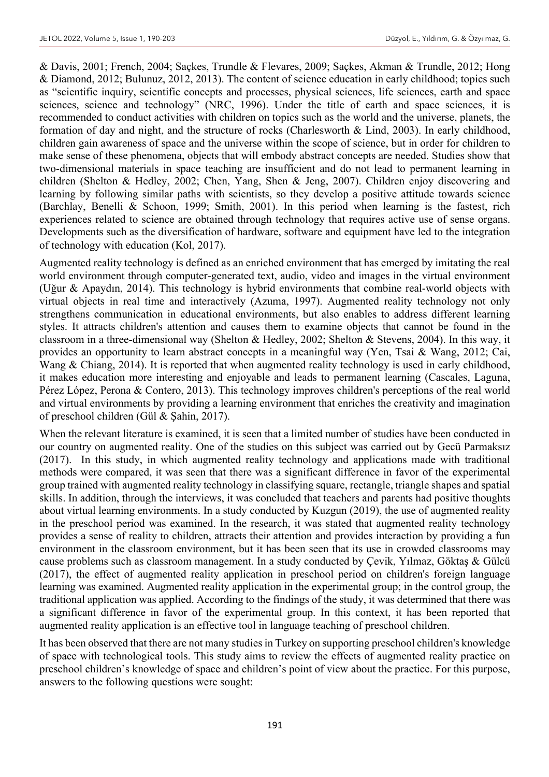& Davis, 2001; French, 2004; Saçkes, Trundle & Flevares, 2009; Saçkes, Akman & Trundle, 2012; Hong & Diamond, 2012; Bulunuz, 2012, 2013). The content of science education in early childhood; topics such as "scientific inquiry, scientific concepts and processes, physical sciences, life sciences, earth and space sciences, science and technology" (NRC, 1996). Under the title of earth and space sciences, it is recommended to conduct activities with children on topics such as the world and the universe, planets, the formation of day and night, and the structure of rocks (Charlesworth & Lind, 2003). In early childhood, children gain awareness of space and the universe within the scope of science, but in order for children to make sense of these phenomena, objects that will embody abstract concepts are needed. Studies show that two-dimensional materials in space teaching are insufficient and do not lead to permanent learning in children (Shelton & Hedley, 2002; Chen, Yang, Shen & Jeng, 2007). Children enjoy discovering and learning by following similar paths with scientists, so they develop a positive attitude towards science (Barchlay, Benelli & Schoon, 1999; Smith, 2001). In this period when learning is the fastest, rich experiences related to science are obtained through technology that requires active use of sense organs. Developments such as the diversification of hardware, software and equipment have led to the integration of technology with education (Kol, 2017).

Augmented reality technology is defined as an enriched environment that has emerged by imitating the real world environment through computer-generated text, audio, video and images in the virtual environment (Uğur & Apaydın, 2014). This technology is hybrid environments that combine real-world objects with virtual objects in real time and interactively (Azuma, 1997). Augmented reality technology not only strengthens communication in educational environments, but also enables to address different learning styles. It attracts children's attention and causes them to examine objects that cannot be found in the classroom in a three-dimensional way (Shelton & Hedley, 2002; Shelton & Stevens, 2004). In this way, it provides an opportunity to learn abstract concepts in a meaningful way (Yen, Tsai & Wang, 2012; Cai, Wang & Chiang, 2014). It is reported that when augmented reality technology is used in early childhood, it makes education more interesting and enjoyable and leads to permanent learning (Cascales, Laguna, Pérez López, Perona & Contero, 2013). This technology improves children's perceptions of the real world and virtual environments by providing a learning environment that enriches the creativity and imagination of preschool children (Gül & Şahin, 2017).

When the relevant literature is examined, it is seen that a limited number of studies have been conducted in our country on augmented reality. One of the studies on this subject was carried out by Gecü Parmaksız (2017). In this study, in which augmented reality technology and applications made with traditional methods were compared, it was seen that there was a significant difference in favor of the experimental group trained with augmented reality technology in classifying square, rectangle, triangle shapes and spatial skills. In addition, through the interviews, it was concluded that teachers and parents had positive thoughts about virtual learning environments. In a study conducted by Kuzgun (2019), the use of augmented reality in the preschool period was examined. In the research, it was stated that augmented reality technology provides a sense of reality to children, attracts their attention and provides interaction by providing a fun environment in the classroom environment, but it has been seen that its use in crowded classrooms may cause problems such as classroom management. In a study conducted by Çevik, Yılmaz, Göktaş & Gülcü (2017), the effect of augmented reality application in preschool period on children's foreign language learning was examined. Augmented reality application in the experimental group; in the control group, the traditional application was applied. According to the findings of the study, it was determined that there was a significant difference in favor of the experimental group. In this context, it has been reported that augmented reality application is an effective tool in language teaching of preschool children.

It has been observed that there are not many studies in Turkey on supporting preschool children's knowledge of space with technological tools. This study aims to review the effects of augmented reality practice on preschool children's knowledge of space and children's point of view about the practice. For this purpose, answers to the following questions were sought: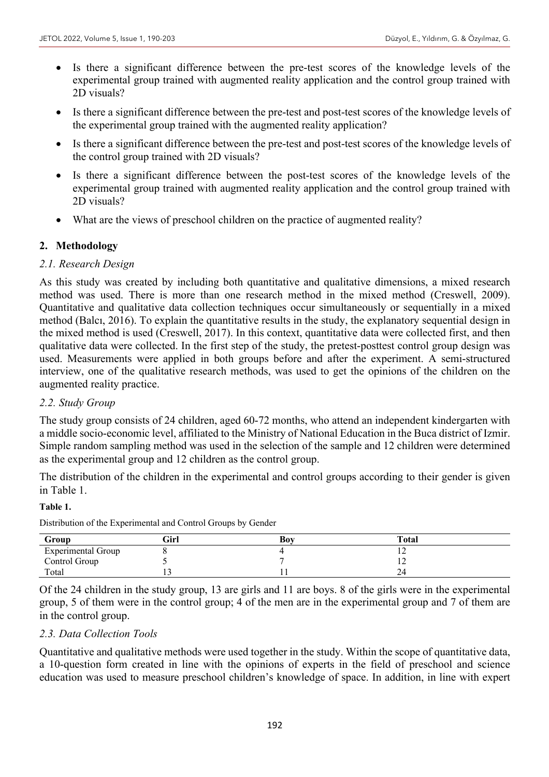- Is there a significant difference between the pre-test scores of the knowledge levels of the experimental group trained with augmented reality application and the control group trained with 2D visuals?
- Is there a significant difference between the pre-test and post-test scores of the knowledge levels of the experimental group trained with the augmented reality application?
- Is there a significant difference between the pre-test and post-test scores of the knowledge levels of the control group trained with 2D visuals?
- Is there a significant difference between the post-test scores of the knowledge levels of the experimental group trained with augmented reality application and the control group trained with 2D visuals?
- What are the views of preschool children on the practice of augmented reality?

# **2. Methodology**

# *2.1. Research Design*

As this study was created by including both quantitative and qualitative dimensions, a mixed research method was used. There is more than one research method in the mixed method (Creswell, 2009). Quantitative and qualitative data collection techniques occur simultaneously or sequentially in a mixed method (Balcı, 2016). To explain the quantitative results in the study, the explanatory sequential design in the mixed method is used (Creswell, 2017). In this context, quantitative data were collected first, and then qualitative data were collected. In the first step of the study, the pretest-posttest control group design was used. Measurements were applied in both groups before and after the experiment. A semi-structured interview, one of the qualitative research methods, was used to get the opinions of the children on the augmented reality practice.

# *2.2. Study Group*

The study group consists of 24 children, aged 60-72 months, who attend an independent kindergarten with a middle socio-economic level, affiliated to the Ministry of National Education in the Buca district of Izmir. Simple random sampling method was used in the selection of the sample and 12 children were determined as the experimental group and 12 children as the control group.

The distribution of the children in the experimental and control groups according to their gender is given in Table 1.

#### **Table 1.**

| Group                     | Girl | Boy | <b>Total</b> |  |
|---------------------------|------|-----|--------------|--|
| <b>Experimental Group</b> |      |     |              |  |
| Control Group             |      |     |              |  |
| Total                     | . .  |     | ∠−           |  |

Distribution of the Experimental and Control Groups by Gender

Of the 24 children in the study group, 13 are girls and 11 are boys. 8 of the girls were in the experimental group, 5 of them were in the control group; 4 of the men are in the experimental group and 7 of them are in the control group.

# *2.3. Data Collection Tools*

Quantitative and qualitative methods were used together in the study. Within the scope of quantitative data, a 10-question form created in line with the opinions of experts in the field of preschool and science education was used to measure preschool children's knowledge of space. In addition, in line with expert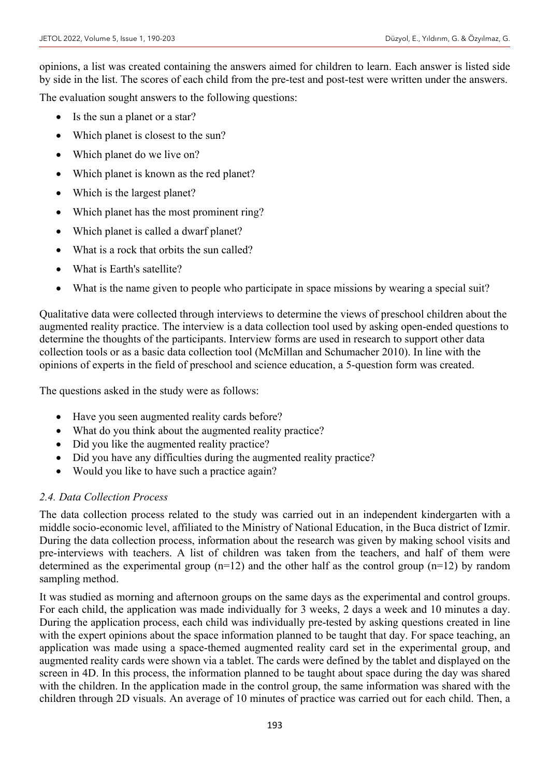opinions, a list was created containing the answers aimed for children to learn. Each answer is listed side by side in the list. The scores of each child from the pre-test and post-test were written under the answers.

The evaluation sought answers to the following questions:

- Is the sun a planet or a star?
- Which planet is closest to the sun?
- Which planet do we live on?
- Which planet is known as the red planet?
- Which is the largest planet?
- Which planet has the most prominent ring?
- Which planet is called a dwarf planet?
- What is a rock that orbits the sun called?
- What is Earth's satellite?
- What is the name given to people who participate in space missions by wearing a special suit?

Qualitative data were collected through interviews to determine the views of preschool children about the augmented reality practice. The interview is a data collection tool used by asking open-ended questions to determine the thoughts of the participants. Interview forms are used in research to support other data collection tools or as a basic data collection tool (McMillan and Schumacher 2010). In line with the opinions of experts in the field of preschool and science education, a 5-question form was created.

The questions asked in the study were as follows:

- Have you seen augmented reality cards before?
- What do you think about the augmented reality practice?
- Did you like the augmented reality practice?
- Did you have any difficulties during the augmented reality practice?
- Would you like to have such a practice again?

# *2.4. Data Collection Process*

The data collection process related to the study was carried out in an independent kindergarten with a middle socio-economic level, affiliated to the Ministry of National Education, in the Buca district of Izmir. During the data collection process, information about the research was given by making school visits and pre-interviews with teachers. A list of children was taken from the teachers, and half of them were determined as the experimental group  $(n=12)$  and the other half as the control group  $(n=12)$  by random sampling method.

It was studied as morning and afternoon groups on the same days as the experimental and control groups. For each child, the application was made individually for 3 weeks, 2 days a week and 10 minutes a day. During the application process, each child was individually pre-tested by asking questions created in line with the expert opinions about the space information planned to be taught that day. For space teaching, an application was made using a space-themed augmented reality card set in the experimental group, and augmented reality cards were shown via a tablet. The cards were defined by the tablet and displayed on the screen in 4D. In this process, the information planned to be taught about space during the day was shared with the children. In the application made in the control group, the same information was shared with the children through 2D visuals. An average of 10 minutes of practice was carried out for each child. Then, a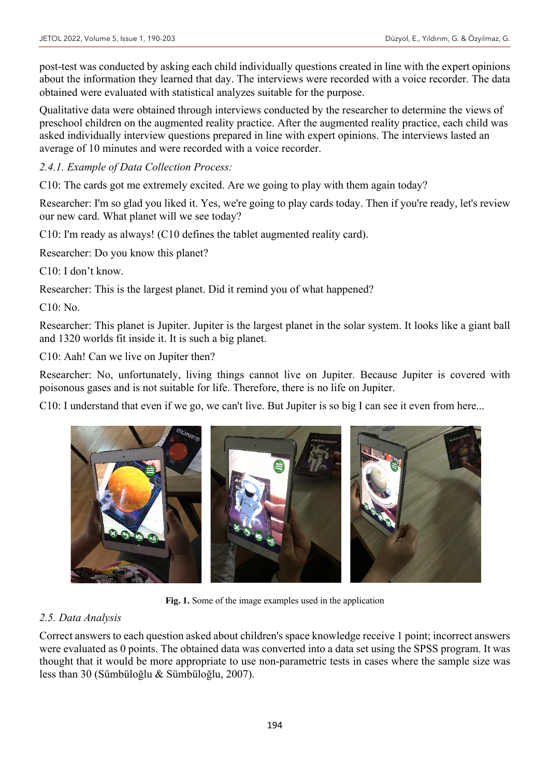post-test was conducted by asking each child individually questions created in line with the expert opinions about the information they learned that day. The interviews were recorded with a voice recorder. The data obtained were evaluated with statistical analyzes suitable for the purpose.

Qualitative data were obtained through interviews conducted by the researcher to determine the views of preschool children on the augmented reality practice. After the augmented reality practice, each child was asked individually interview questions prepared in line with expert opinions. The interviews lasted an average of 10 minutes and were recorded with a voice recorder.

*2.4.1. Example of Data Collection Process:*

C10: The cards got me extremely excited. Are we going to play with them again today?

Researcher: I'm so glad you liked it. Yes, we're going to play cards today. Then if you're ready, let's review our new card. What planet will we see today?

C10: I'm ready as always! (C10 defines the tablet augmented reality card).

Researcher: Do you know this planet?

C10: I don't know.

Researcher: This is the largest planet. Did it remind you of what happened?

C10: No.

Researcher: This planet is Jupiter. Jupiter is the largest planet in the solar system. It looks like a giant ball and 1320 worlds fit inside it. It is such a big planet.

C10: Aah! Can we live on Jupiter then?

Researcher: No, unfortunately, living things cannot live on Jupiter. Because Jupiter is covered with poisonous gases and is not suitable for life. Therefore, there is no life on Jupiter.

C10: I understand that even if we go, we can't live. But Jupiter is so big I can see it even from here...



**Fig. 1.** Some of the image examples used in the application

# *2.5. Data Analysis*

Correct answers to each question asked about children's space knowledge receive 1 point; incorrect answers were evaluated as 0 points. The obtained data was converted into a data set using the SPSS program. It was thought that it would be more appropriate to use non-parametric tests in cases where the sample size was less than 30 (Sümbüloğlu & Sümbüloğlu, 2007).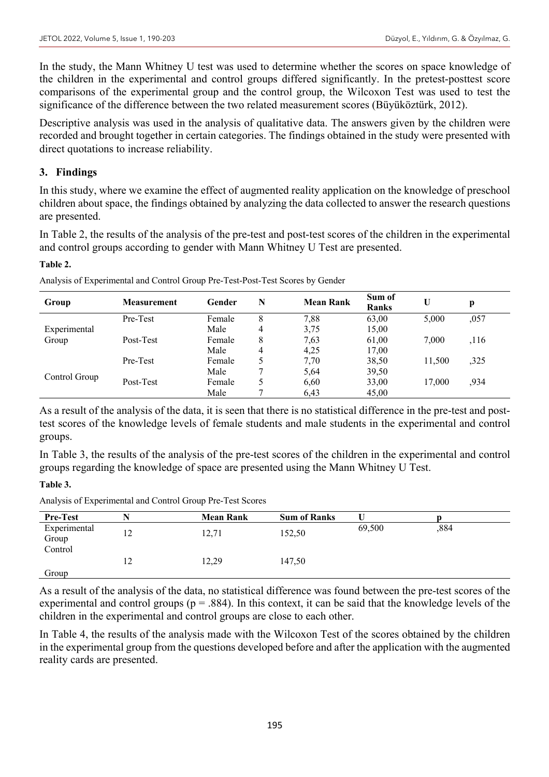In the study, the Mann Whitney U test was used to determine whether the scores on space knowledge of the children in the experimental and control groups differed significantly. In the pretest-posttest score comparisons of the experimental group and the control group, the Wilcoxon Test was used to test the significance of the difference between the two related measurement scores (Büyüköztürk, 2012).

Descriptive analysis was used in the analysis of qualitative data. The answers given by the children were recorded and brought together in certain categories. The findings obtained in the study were presented with direct quotations to increase reliability.

# **3. Findings**

In this study, where we examine the effect of augmented reality application on the knowledge of preschool children about space, the findings obtained by analyzing the data collected to answer the research questions are presented.

In Table 2, the results of the analysis of the pre-test and post-test scores of the children in the experimental and control groups according to gender with Mann Whitney U Test are presented.

#### **Table 2.**

| Group         | <b>Measurement</b> | Gender | N | <b>Mean Rank</b> | Sum of<br><b>Ranks</b> | U      | р    |
|---------------|--------------------|--------|---|------------------|------------------------|--------|------|
|               | Pre-Test           | Female | 8 | 7,88             | 63,00                  | 5.000  | ,057 |
| Experimental  |                    | Male   | 4 | 3,75             | 15,00                  |        |      |
| Group         | Post-Test          | Female | 8 | 7,63             | 61,00                  | 7.000  | ,116 |
|               |                    | Male   | 4 | 4,25             | 17,00                  |        |      |
|               | Pre-Test           | Female |   | 7,70             | 38,50                  | 11.500 | ,325 |
| Control Group |                    | Male   |   | 5,64             | 39,50                  |        |      |
|               | Post-Test          | Female |   | 6,60             | 33,00                  | 17,000 | ,934 |
|               |                    | Male   |   | 6,43             | 45,00                  |        |      |

Analysis of Experimental and Control Group Pre-Test-Post-Test Scores by Gender

As a result of the analysis of the data, it is seen that there is no statistical difference in the pre-test and posttest scores of the knowledge levels of female students and male students in the experimental and control groups.

In Table 3, the results of the analysis of the pre-test scores of the children in the experimental and control groups regarding the knowledge of space are presented using the Mann Whitney U Test.

#### **Table 3.**

Analysis of Experimental and Control Group Pre-Test Scores

| <b>Pre-Test</b>       |    | <b>Mean Rank</b> | <b>Sum of Ranks</b> |        |      |  |
|-----------------------|----|------------------|---------------------|--------|------|--|
| Experimental<br>Group | 12 | 12,71            | 152,50              | 69,500 | ,884 |  |
| Control               | 12 | 12,29            | 147,50              |        |      |  |
| Group                 |    |                  |                     |        |      |  |

As a result of the analysis of the data, no statistical difference was found between the pre-test scores of the experimental and control groups ( $p = .884$ ). In this context, it can be said that the knowledge levels of the children in the experimental and control groups are close to each other.

In Table 4, the results of the analysis made with the Wilcoxon Test of the scores obtained by the children in the experimental group from the questions developed before and after the application with the augmented reality cards are presented.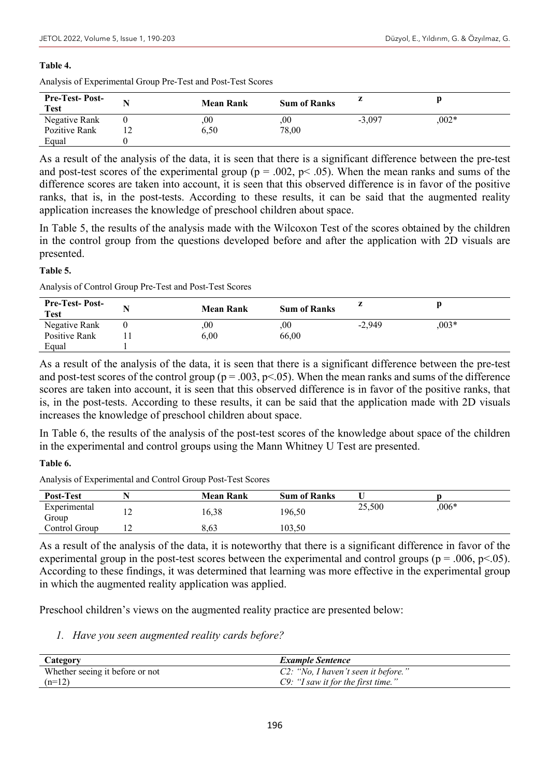#### **Table 4.**

|  |  |  | Analysis of Experimental Group Pre-Test and Post-Test Scores |  |
|--|--|--|--------------------------------------------------------------|--|
|  |  |  |                                                              |  |

| <b>Pre-Test-Post-</b><br><b>Test</b> |    | <b>Mean Rank</b> | <b>Sum of Ranks</b> |          |         |  |
|--------------------------------------|----|------------------|---------------------|----------|---------|--|
| Negative Rank                        |    | ,00              | .00                 | $-3.097$ | $.002*$ |  |
| Pozitive Rank                        | ⊥∠ | 6,50             | 78,00               |          |         |  |
| Equal                                |    |                  |                     |          |         |  |

As a result of the analysis of the data, it is seen that there is a significant difference between the pre-test and post-test scores of the experimental group ( $p = .002$ ,  $p < .05$ ). When the mean ranks and sums of the difference scores are taken into account, it is seen that this observed difference is in favor of the positive ranks, that is, in the post-tests. According to these results, it can be said that the augmented reality application increases the knowledge of preschool children about space.

In Table 5, the results of the analysis made with the Wilcoxon Test of the scores obtained by the children in the control group from the questions developed before and after the application with 2D visuals are presented.

#### **Table 5.**

Analysis of Control Group Pre-Test and Post-Test Scores

| <b>Pre-Test-Post-</b><br><b>Test</b> | <b>Mean Rank</b> | <b>Sum of Ranks</b> |          |         |
|--------------------------------------|------------------|---------------------|----------|---------|
| Negative Rank                        | ,00              | .00                 | $-2.949$ | $,003*$ |
| Positive Rank                        | 6.00             | 66,00               |          |         |
| Equal                                |                  |                     |          |         |

As a result of the analysis of the data, it is seen that there is a significant difference between the pre-test and post-test scores of the control group ( $p = .003$ ,  $p < .05$ ). When the mean ranks and sums of the difference scores are taken into account, it is seen that this observed difference is in favor of the positive ranks, that is, in the post-tests. According to these results, it can be said that the application made with 2D visuals increases the knowledge of preschool children about space.

In Table 6, the results of the analysis of the post-test scores of the knowledge about space of the children in the experimental and control groups using the Mann Whitney U Test are presented.

#### **Table 6.**

Analysis of Experimental and Control Group Post-Test Scores

| Post-Test             |    | <b>Mean Rank</b> | <b>Sum of Ranks</b> |        |         |  |
|-----------------------|----|------------------|---------------------|--------|---------|--|
| Experimental<br>Group | 14 | 16,38            | 196,50              | 25,500 | $,006*$ |  |
| Control Group         | ∸  | 8.63             | 103.50              |        |         |  |

As a result of the analysis of the data, it is noteworthy that there is a significant difference in favor of the experimental group in the post-test scores between the experimental and control groups ( $p = .006$ ,  $p < .05$ ). According to these findings, it was determined that learning was more effective in the experimental group in which the augmented reality application was applied.

Preschool children's views on the augmented reality practice are presented below:

*1. Have you seen augmented reality cards before?*

| Category                        | <b>Example Sentence</b>               |  |
|---------------------------------|---------------------------------------|--|
| Whether seeing it before or not | C2: "No, I haven't seen it before."   |  |
| $(n=12)$                        | $C9$ : "I saw it for the first time." |  |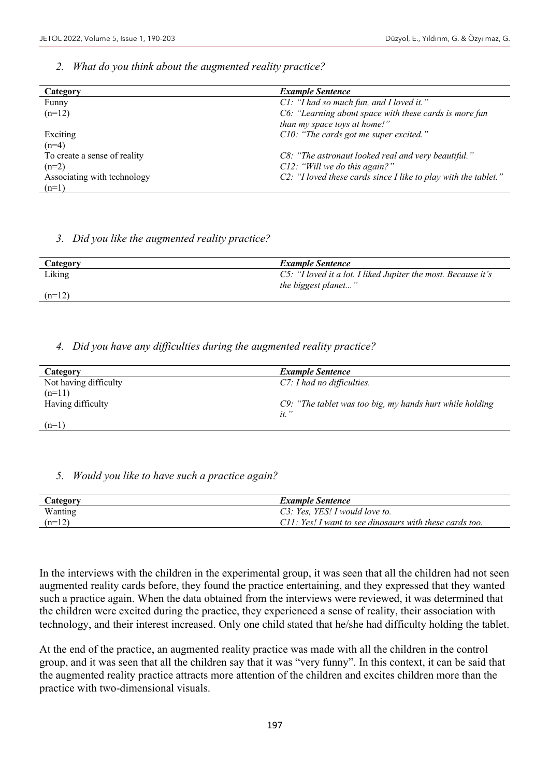### *2. What do you think about the augmented reality practice?*

| Category                     | <b>Example Sentence</b>                                         |
|------------------------------|-----------------------------------------------------------------|
| Funny                        | C1: "I had so much fun, and I loved it."                        |
| $(n=12)$                     | C6: "Learning about space with these cards is more fun          |
|                              | than my space toys at home!"                                    |
| Exciting                     | C10: "The cards got me super excited."                          |
| $(n=4)$                      |                                                                 |
| To create a sense of reality | C8: "The astronaut looked real and very beautiful."             |
| $(n=2)$                      | $C12$ : "Will we do this again?"                                |
| Associating with technology  | C2: "I loved these cards since I like to play with the tablet." |
| $(n=1)$                      |                                                                 |

#### *3. Did you like the augmented reality practice?*

| Category | <b>Example Sentence</b>                                       |
|----------|---------------------------------------------------------------|
| Liking   | C5: "I loved it a lot. I liked Jupiter the most. Because it's |
|          | the biggest planet"                                           |
| $(n=12)$ |                                                               |

# *4. Did you have any difficulties during the augmented reality practice?*

| Category              | <b>Example Sentence</b>                                  |
|-----------------------|----------------------------------------------------------|
| Not having difficulty | $C$ 7: I had no difficulties.                            |
| $(n=11)$              |                                                          |
| Having difficulty     | C9: "The tablet was too big, my hands hurt while holding |
|                       | $it.$ "                                                  |
| $(n=1)$               |                                                          |

# *5. Would you like to have such a practice again?*

| Category | <b>Example Sentence</b>                                 |
|----------|---------------------------------------------------------|
| Wanting  | C3: Yes, YES! I would love to.                          |
| $(n=12)$ | C11: Yes! I want to see dinosaurs with these cards too. |

In the interviews with the children in the experimental group, it was seen that all the children had not seen augmented reality cards before, they found the practice entertaining, and they expressed that they wanted such a practice again. When the data obtained from the interviews were reviewed, it was determined that the children were excited during the practice, they experienced a sense of reality, their association with technology, and their interest increased. Only one child stated that he/she had difficulty holding the tablet.

At the end of the practice, an augmented reality practice was made with all the children in the control group, and it was seen that all the children say that it was "very funny". In this context, it can be said that the augmented reality practice attracts more attention of the children and excites children more than the practice with two-dimensional visuals.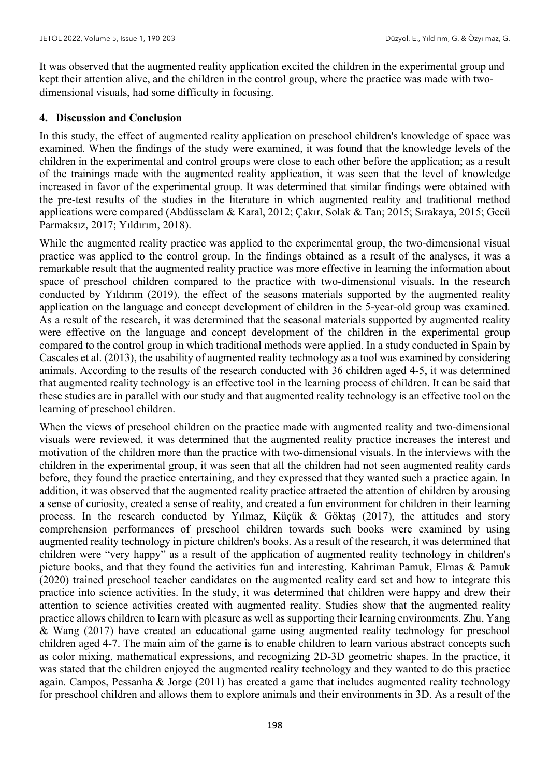It was observed that the augmented reality application excited the children in the experimental group and kept their attention alive, and the children in the control group, where the practice was made with twodimensional visuals, had some difficulty in focusing.

# **4. Discussion and Conclusion**

In this study, the effect of augmented reality application on preschool children's knowledge of space was examined. When the findings of the study were examined, it was found that the knowledge levels of the children in the experimental and control groups were close to each other before the application; as a result of the trainings made with the augmented reality application, it was seen that the level of knowledge increased in favor of the experimental group. It was determined that similar findings were obtained with the pre-test results of the studies in the literature in which augmented reality and traditional method applications were compared (Abdüsselam & Karal, 2012; Çakır, Solak & Tan; 2015; Sırakaya, 2015; Gecü Parmaksız, 2017; Yıldırım, 2018).

While the augmented reality practice was applied to the experimental group, the two-dimensional visual practice was applied to the control group. In the findings obtained as a result of the analyses, it was a remarkable result that the augmented reality practice was more effective in learning the information about space of preschool children compared to the practice with two-dimensional visuals. In the research conducted by Yıldırım (2019), the effect of the seasons materials supported by the augmented reality application on the language and concept development of children in the 5-year-old group was examined. As a result of the research, it was determined that the seasonal materials supported by augmented reality were effective on the language and concept development of the children in the experimental group compared to the control group in which traditional methods were applied. In a study conducted in Spain by Cascales et al. (2013), the usability of augmented reality technology as a tool was examined by considering animals. According to the results of the research conducted with 36 children aged 4-5, it was determined that augmented reality technology is an effective tool in the learning process of children. It can be said that these studies are in parallel with our study and that augmented reality technology is an effective tool on the learning of preschool children.

When the views of preschool children on the practice made with augmented reality and two-dimensional visuals were reviewed, it was determined that the augmented reality practice increases the interest and motivation of the children more than the practice with two-dimensional visuals. In the interviews with the children in the experimental group, it was seen that all the children had not seen augmented reality cards before, they found the practice entertaining, and they expressed that they wanted such a practice again. In addition, it was observed that the augmented reality practice attracted the attention of children by arousing a sense of curiosity, created a sense of reality, and created a fun environment for children in their learning process. In the research conducted by Yılmaz, Küçük & Göktaş (2017), the attitudes and story comprehension performances of preschool children towards such books were examined by using augmented reality technology in picture children's books. As a result of the research, it was determined that children were "very happy" as a result of the application of augmented reality technology in children's picture books, and that they found the activities fun and interesting. Kahriman Pamuk, Elmas & Pamuk (2020) trained preschool teacher candidates on the augmented reality card set and how to integrate this practice into science activities. In the study, it was determined that children were happy and drew their attention to science activities created with augmented reality. Studies show that the augmented reality practice allows children to learn with pleasure as well as supporting their learning environments. Zhu, Yang & Wang (2017) have created an educational game using augmented reality technology for preschool children aged 4-7. The main aim of the game is to enable children to learn various abstract concepts such as color mixing, mathematical expressions, and recognizing 2D-3D geometric shapes. In the practice, it was stated that the children enjoyed the augmented reality technology and they wanted to do this practice again. Campos, Pessanha & Jorge (2011) has created a game that includes augmented reality technology for preschool children and allows them to explore animals and their environments in 3D. As a result of the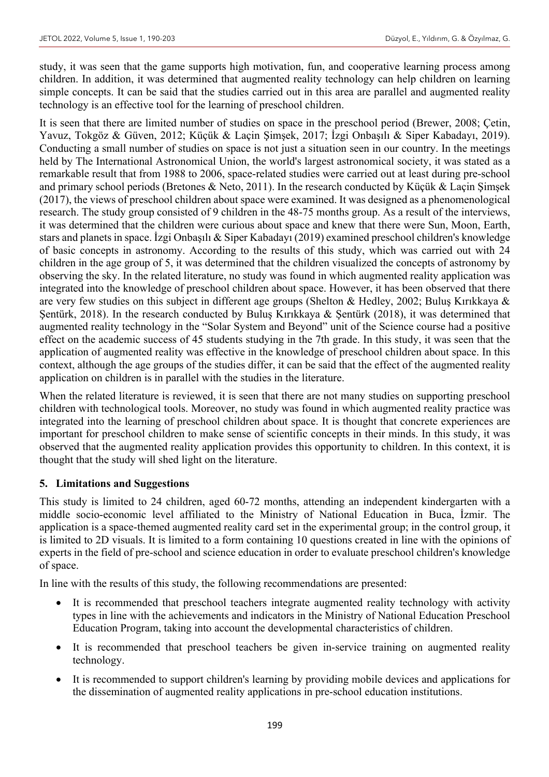study, it was seen that the game supports high motivation, fun, and cooperative learning process among children. In addition, it was determined that augmented reality technology can help children on learning simple concepts. It can be said that the studies carried out in this area are parallel and augmented reality technology is an effective tool for the learning of preschool children.

It is seen that there are limited number of studies on space in the preschool period (Brewer, 2008; Çetin, Yavuz, Tokgöz & Güven, 2012; Küçük & Laçin Şimşek, 2017; İzgi Onbaşılı & Siper Kabadayı, 2019). Conducting a small number of studies on space is not just a situation seen in our country. In the meetings held by The International Astronomical Union, the world's largest astronomical society, it was stated as a remarkable result that from 1988 to 2006, space-related studies were carried out at least during pre-school and primary school periods (Bretones & Neto, 2011). In the research conducted by Küçük & Laçin Şimşek (2017), the views of preschool children about space were examined. It was designed as a phenomenological research. The study group consisted of 9 children in the 48-75 months group. As a result of the interviews, it was determined that the children were curious about space and knew that there were Sun, Moon, Earth, stars and planets in space. İzgi Onbaşılı & Siper Kabadayı (2019) examined preschool children's knowledge of basic concepts in astronomy. According to the results of this study, which was carried out with 24 children in the age group of 5, it was determined that the children visualized the concepts of astronomy by observing the sky. In the related literature, no study was found in which augmented reality application was integrated into the knowledge of preschool children about space. However, it has been observed that there are very few studies on this subject in different age groups (Shelton & Hedley, 2002; Buluş Kırıkkaya & Şentürk, 2018). In the research conducted by Buluş Kırıkkaya & Şentürk (2018), it was determined that augmented reality technology in the "Solar System and Beyond" unit of the Science course had a positive effect on the academic success of 45 students studying in the 7th grade. In this study, it was seen that the application of augmented reality was effective in the knowledge of preschool children about space. In this context, although the age groups of the studies differ, it can be said that the effect of the augmented reality application on children is in parallel with the studies in the literature.

When the related literature is reviewed, it is seen that there are not many studies on supporting preschool children with technological tools. Moreover, no study was found in which augmented reality practice was integrated into the learning of preschool children about space. It is thought that concrete experiences are important for preschool children to make sense of scientific concepts in their minds. In this study, it was observed that the augmented reality application provides this opportunity to children. In this context, it is thought that the study will shed light on the literature.

# **5. Limitations and Suggestions**

This study is limited to 24 children, aged 60-72 months, attending an independent kindergarten with a middle socio-economic level affiliated to the Ministry of National Education in Buca, İzmir. The application is a space-themed augmented reality card set in the experimental group; in the control group, it is limited to 2D visuals. It is limited to a form containing 10 questions created in line with the opinions of experts in the field of pre-school and science education in order to evaluate preschool children's knowledge of space.

In line with the results of this study, the following recommendations are presented:

- It is recommended that preschool teachers integrate augmented reality technology with activity types in line with the achievements and indicators in the Ministry of National Education Preschool Education Program, taking into account the developmental characteristics of children.
- It is recommended that preschool teachers be given in-service training on augmented reality technology.
- It is recommended to support children's learning by providing mobile devices and applications for the dissemination of augmented reality applications in pre-school education institutions.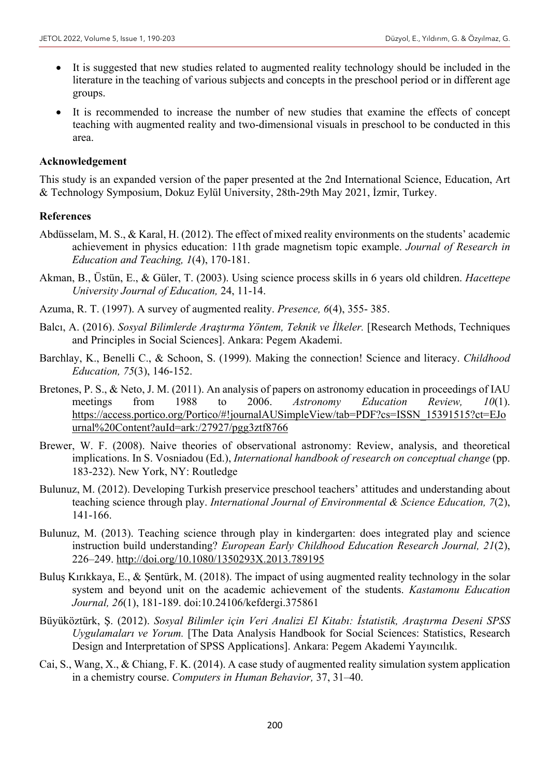- It is suggested that new studies related to augmented reality technology should be included in the literature in the teaching of various subjects and concepts in the preschool period or in different age groups.
- It is recommended to increase the number of new studies that examine the effects of concept teaching with augmented reality and two-dimensional visuals in preschool to be conducted in this area.

#### **Acknowledgement**

This study is an expanded version of the paper presented at the 2nd International Science, Education, Art & Technology Symposium, Dokuz Eylül University, 28th-29th May 2021, İzmir, Turkey.

#### **References**

- Abdüsselam, M. S., & Karal, H. (2012). The effect of mixed reality environments on the students' academic achievement in physics education: 11th grade magnetism topic example. *Journal of Research in Education and Teaching, 1*(4), 170-181.
- Akman, B., Üstün, E., & Güler, T. (2003). Using science process skills in 6 years old children. *Hacettepe University Journal of Education,* 24, 11-14.
- Azuma, R. T. (1997). A survey of augmented reality. *Presence, 6*(4), 355- 385.
- Balcı, A. (2016). *Sosyal Bilimlerde Araştırma Yöntem, Teknik ve İlkeler.* [Research Methods, Techniques and Principles in Social Sciences]. Ankara: Pegem Akademi.
- Barchlay, K., Benelli C., & Schoon, S. (1999). Making the connection! Science and literacy. *Childhood Education, 75*(3), 146-152.
- Bretones, P. S., & Neto, J. M. (2011). An analysis of papers on astronomy education in proceedings of IAU meetings from 1988 to 2006. *Astronomy Education Review, 10*(1). https://access.portico.org/Portico/#!journalAUSimpleView/tab=PDF?cs=ISSN\_15391515?ct=EJo urnal%20Content?auId=ark:/27927/pgg3ztf8766
- Brewer, W. F. (2008). Naive theories of observational astronomy: Review, analysis, and theoretical implications. In S. Vosniadou (Ed.), *International handbook of research on conceptual change* (pp. 183-232). New York, NY: Routledge
- Bulunuz, M. (2012). Developing Turkish preservice preschool teachers' attitudes and understanding about teaching science through play. *International Journal of Environmental & Science Education, 7*(2), 141-166.
- Bulunuz, M. (2013). Teaching science through play in kindergarten: does integrated play and science instruction build understanding? *European Early Childhood Education Research Journal, 21*(2), 226–249. http://doi.org/10.1080/1350293X.2013.789195
- Buluş Kırıkkaya, E., & Şentürk, M. (2018). The impact of using augmented reality technology in the solar system and beyond unit on the academic achievement of the students. *Kastamonu Education Journal, 26*(1), 181-189. doi:10.24106/kefdergi.375861
- Büyüköztürk, Ş. (2012). *Sosyal Bilimler için Veri Analizi El Kitabı: İstatistik, Araştırma Deseni SPSS Uygulamaları ve Yorum.* [The Data Analysis Handbook for Social Sciences: Statistics, Research Design and Interpretation of SPSS Applications]. Ankara: Pegem Akademi Yayıncılık.
- Cai, S., Wang, X., & Chiang, F. K. (2014). A case study of augmented reality simulation system application in a chemistry course. *Computers in Human Behavior,* 37, 31–40.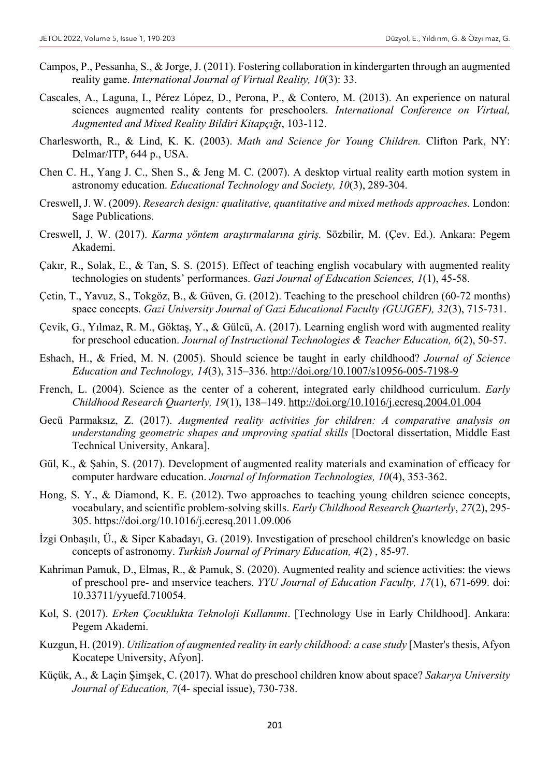- Campos, P., Pessanha, S., & Jorge, J. (2011). Fostering collaboration in kindergarten through an augmented reality game. *International Journal of Virtual Reality, 10*(3): 33.
- Cascales, A., Laguna, I., Pérez López, D., Perona, P., & Contero, M. (2013). An experience on natural sciences augmented reality contents for preschoolers. *International Conference on Virtual, Augmented and Mixed Reality Bildiri Kitapçığı*, 103-112.
- Charlesworth, R., & Lind, K. K. (2003). *Math and Science for Young Children.* Clifton Park, NY: Delmar/ITP, 644 p., USA.
- Chen C. H., Yang J. C., Shen S., & Jeng M. C. (2007). A desktop virtual reality earth motion system in astronomy education. *Educational Technology and Society, 10*(3), 289-304.
- Creswell, J. W. (2009). *Research design: qualitative, quantitative and mixed methods approaches.* London: Sage Publications.
- Creswell, J. W. (2017). *Karma yöntem araştırmalarına giriş.* Sözbilir, M. (Çev. Ed.). Ankara: Pegem Akademi.
- Çakır, R., Solak, E., & Tan, S. S. (2015). Effect of teaching english vocabulary with augmented reality technologies on students' performances. *Gazi Journal of Education Sciences, 1*(1), 45‐58.
- Çetin, T., Yavuz, S., Tokgöz, B., & Güven, G. (2012). Teaching to the preschool children (60-72 months) space concepts. *Gazi University Journal of Gazi Educational Faculty (GUJGEF), 32*(3), 715-731.
- Çevik, G., Yılmaz, R. M., Göktaş, Y., & Gülcü, A. (2017). Learning english word with augmented reality for preschool education. *Journal of Instructional Technologies & Teacher Education, 6*(2), 50-57.
- Eshach, H., & Fried, M. N. (2005). Should science be taught in early childhood? *Journal of Science Education and Technology, 14*(3), 315–336. http://doi.org/10.1007/s10956-005-7198-9
- French, L. (2004). Science as the center of a coherent, integrated early childhood curriculum. *Early Childhood Research Quarterly, 19*(1), 138–149. http://doi.org/10.1016/j.ecresq.2004.01.004
- Gecü Parmaksız, Z. (2017). *Augmented reality activities for children: A comparative analysis on understanding geometric shapes and ımproving spatial skills* [Doctoral dissertation, Middle East Technical University, Ankara].
- Gül, K., & Şahin, S. (2017). Development of augmented reality materials and examination of efficacy for computer hardware education. *Journal of Information Technologies, 10*(4), 353-362.
- Hong, S. Y., & Diamond, K. E. (2012). Two approaches to teaching young children science concepts, vocabulary, and scientific problem-solving skills. *Early Childhood Research Quarterly*, *27*(2), 295- 305. https://doi.org/10.1016/j.ecresq.2011.09.006
- İzgi Onbaşılı, Ü., & Siper Kabadayı, G. (2019). Investigation of preschool children's knowledge on basic concepts of astronomy. *Turkish Journal of Primary Education, 4*(2) , 85-97.
- Kahriman Pamuk, D., Elmas, R., & Pamuk, S. (2020). Augmented reality and science activities: the views of preschool pre- and ınservice teachers. *YYU Journal of Education Faculty, 17*(1), 671-699. doi: 10.33711/yyuefd.710054.
- Kol, S. (2017). *Erken Çocuklukta Teknoloji Kullanımı*. [Technology Use in Early Childhood]. Ankara: Pegem Akademi.
- Kuzgun, H. (2019). *Utilization of augmented reality in early childhood: a case study* [Master's thesis, Afyon Kocatepe University, Afyon].
- Küçük, A., & Laçin Şimşek, C. (2017). What do preschool children know about space? *Sakarya University Journal of Education, 7*(4- special issue), 730-738.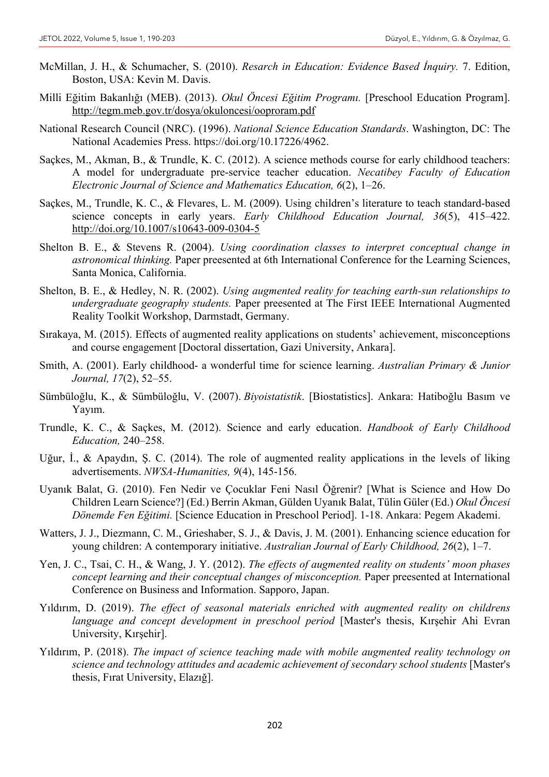- McMillan, J. H., & Schumacher, S. (2010). *Resarch in Education: Evidence Based İnquiry.* 7. Edition, Boston, USA: Kevin M. Davis.
- Milli Eğitim Bakanlığı (MEB). (2013). *Okul Öncesi Eğitim Programı.* [Preschool Education Program]. http://tegm.meb.gov.tr/dosya/okuloncesi/ooproram.pdf
- National Research Council (NRC). (1996). *National Science Education Standards*. Washington, DC: The National Academies Press. https://doi.org/10.17226/4962.
- Saçkes, M., Akman, B., & Trundle, K. C. (2012). A science methods course for early childhood teachers: A model for undergraduate pre-service teacher education. *Necatibey Faculty of Education Electronic Journal of Science and Mathematics Education, 6*(2), 1–26.
- Saçkes, M., Trundle, K. C., & Flevares, L. M. (2009). Using children's literature to teach standard-based science concepts in early years. *Early Childhood Education Journal, 36*(5), 415–422. http://doi.org/10.1007/s10643-009-0304-5
- Shelton B. E., & Stevens R. (2004). *Using coordination classes to interpret conceptual change in astronomical thinking.* Paper preesented at 6th International Conference for the Learning Sciences, Santa Monica, California.
- Shelton, B. E., & Hedley, N. R. (2002). *Using augmented reality for teaching earth-sun relationships to undergraduate geography students.* Paper preesented at The First IEEE International Augmented Reality Toolkit Workshop, Darmstadt, Germany.
- Sırakaya, M. (2015). Effects of augmented reality applications on students' achievement, misconceptions and course engagement [Doctoral dissertation, Gazi University, Ankara].
- Smith, A. (2001). Early childhood- a wonderful time for science learning. *Australian Primary & Junior Journal, 17*(2), 52–55.
- Sümbüloğlu, K., & Sümbüloğlu, V. (2007). *Biyoistatistik*. [Biostatistics]. Ankara: Hatiboğlu Basım ve Yayım.
- Trundle, K. C., & Saçkes, M. (2012). Science and early education. *Handbook of Early Childhood Education,* 240–258.
- Uğur, İ., & Apaydın, Ş. C. (2014). The role of augmented reality applications in the levels of liking advertisements. *NWSA-Humanities, 9*(4), 145-156.
- Uyanık Balat, G. (2010). Fen Nedir ve Çocuklar Feni Nasıl Öğrenir? [What is Science and How Do Children Learn Science?] (Ed.) Berrin Akman, Gülden Uyanık Balat, Tülin Güler (Ed.) *Okul Öncesi Dönemde Fen Eğitimi.* [Science Education in Preschool Period]. 1-18. Ankara: Pegem Akademi.
- Watters, J. J., Diezmann, C. M., Grieshaber, S. J., & Davis, J. M. (2001). Enhancing science education for young children: A contemporary initiative. *Australian Journal of Early Childhood, 26*(2), 1–7.
- Yen, J. C., Tsai, C. H., & Wang, J. Y. (2012). *The effects of augmented reality on students' moon phases concept learning and their conceptual changes of misconception.* Paper preesented at International Conference on Business and Information. Sapporo, Japan.
- Yıldırım, D. (2019). *The effect of seasonal materials enriched with augmented reality on childrens language and concept development in preschool perı̇od* [Master's thesis, Kırşehir Ahi Evran University, Kırşehir].
- Yıldırım, P. (2018). *The impact of science teaching made with mobile augmented reality technology on science and technology attitudes and academic achievement of secondary school students* [Master's thesis, Fırat University, Elazığ].